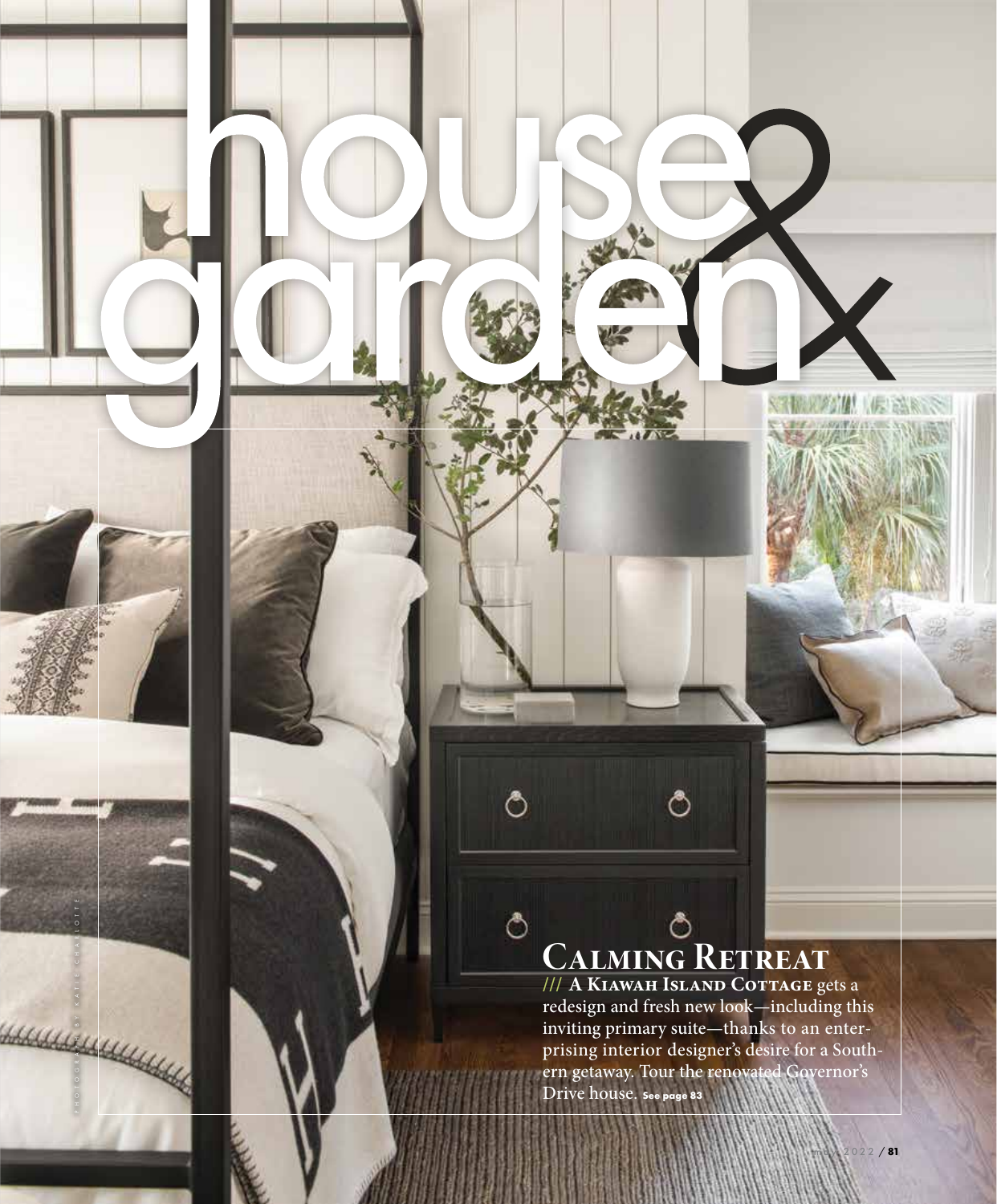#### **Calming Retreat**

ి

ి

 $\Diamond$ 

PHOTOGRAPH BY KATIE CHARLOTTE

HAMAR BALLAR

**/// A Kiawah Island Cottage** gets a redesign and fresh new look—including this inviting primary suite—thanks to an enter prising interior designer's desire for a South ern getaway. Tour the renovated Governor's Drive house. **See page 83**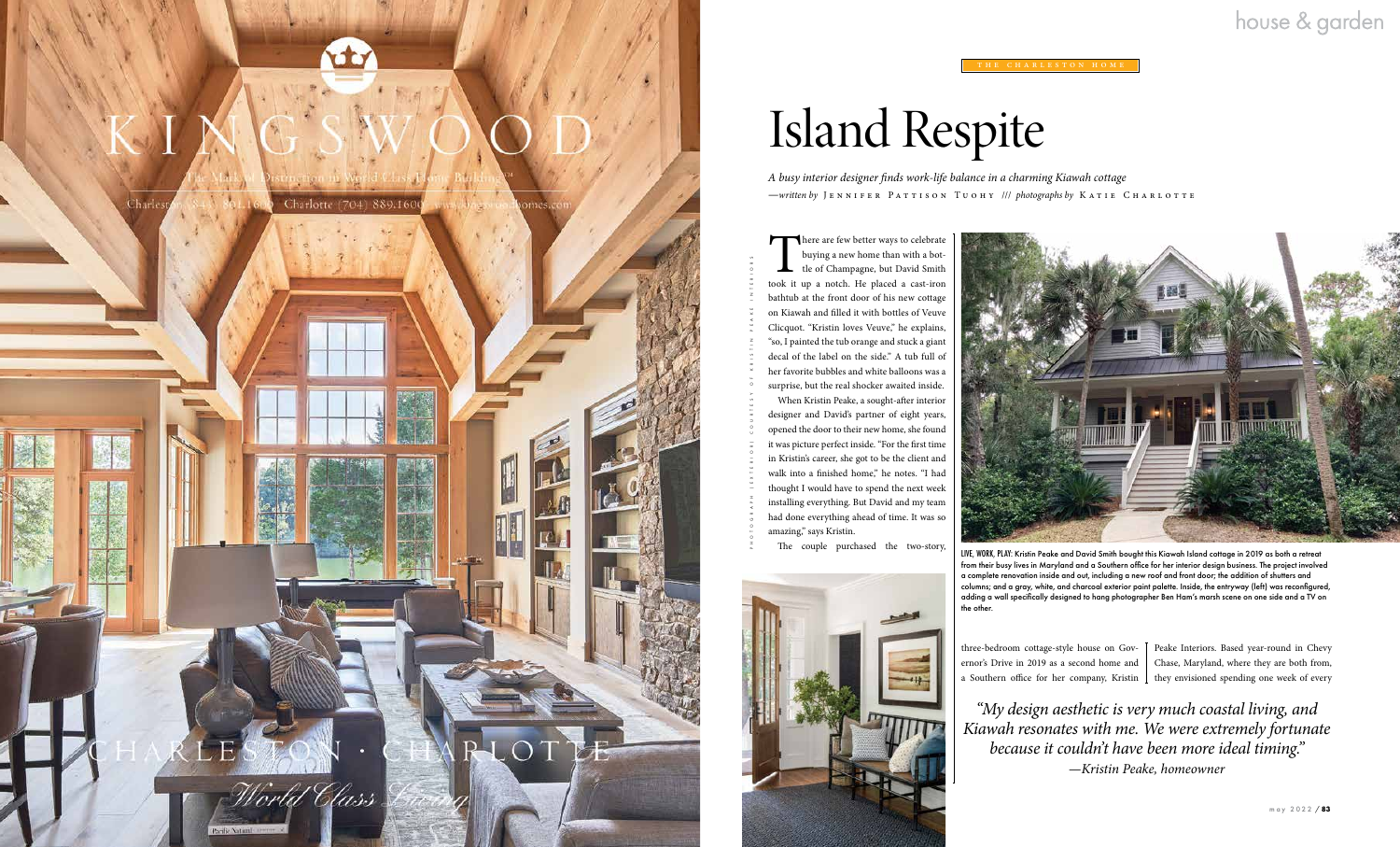There are few better ways to celebrate buying a new home than with a bottle of Champagne, but David Smith took it up a notch. He placed a cast-iron bathtub at the front door of his new cottage on Kiawah and filled it with bottles of Veuve Clicquot. "Kristin loves Veuve," he explains, "so, I painted the tub orange and stuck a giant decal of the label on the side." A tub full of her favorite bubbles and white balloons was a surprise, but the real shocker awaited inside.

When Kristin Peake, a sought-after interior designer and David's partner of eight years, opened the door to their new home, she found it was picture perfect inside. "For the first time in Kristin's career, she got to be the client and walk into a finished home," he notes. "I had thought I would have to spend the next week installing everything. But David and my team had done everything ahead of time. It was so amazing," says Kristin.

The couple purchased the two-story,





# Island Respite

*A busy interior designer finds work-life balance in a charming Kiawah cottage —written by* J e n n i f e r P a t t i s o n T u o h y /// *photographs by* Katie Charlotte

PHOTOGRAPH (EXTERIOR) COURTESY OF KRISTIN PEAKE INTERIORS

LIVE, WORK, PLAY: Kristin Peake and David Smith bought this Kiawah Island cottage in 2019 as both a retreat from their busy lives in Maryland and a Southern office for her interior design business. The project involved a complete renovation inside and out, including a new roof and front door; the addition of shutters and columns; and a gray, white, and charcoal exterior paint palette. Inside, the entryway (left) was reconfigured, adding a wall specifically designed to hang photographer Ben Ham's marsh scene on one side and a TV on the other.

three-bedroom cottage-style house on Governor's Drive in 2019 as a second home and a Southern office for her company, Kristin

#### house & garden



Peake Interiors. Based year-round in Chevy Chase, Maryland, where they are both from, they envisioned spending one week of every

*"My design aesthetic is very much coastal living, and Kiawah resonates with me. We were extremely fortunate because it couldn't have been more ideal timing." —Kristin Peake, homeowner*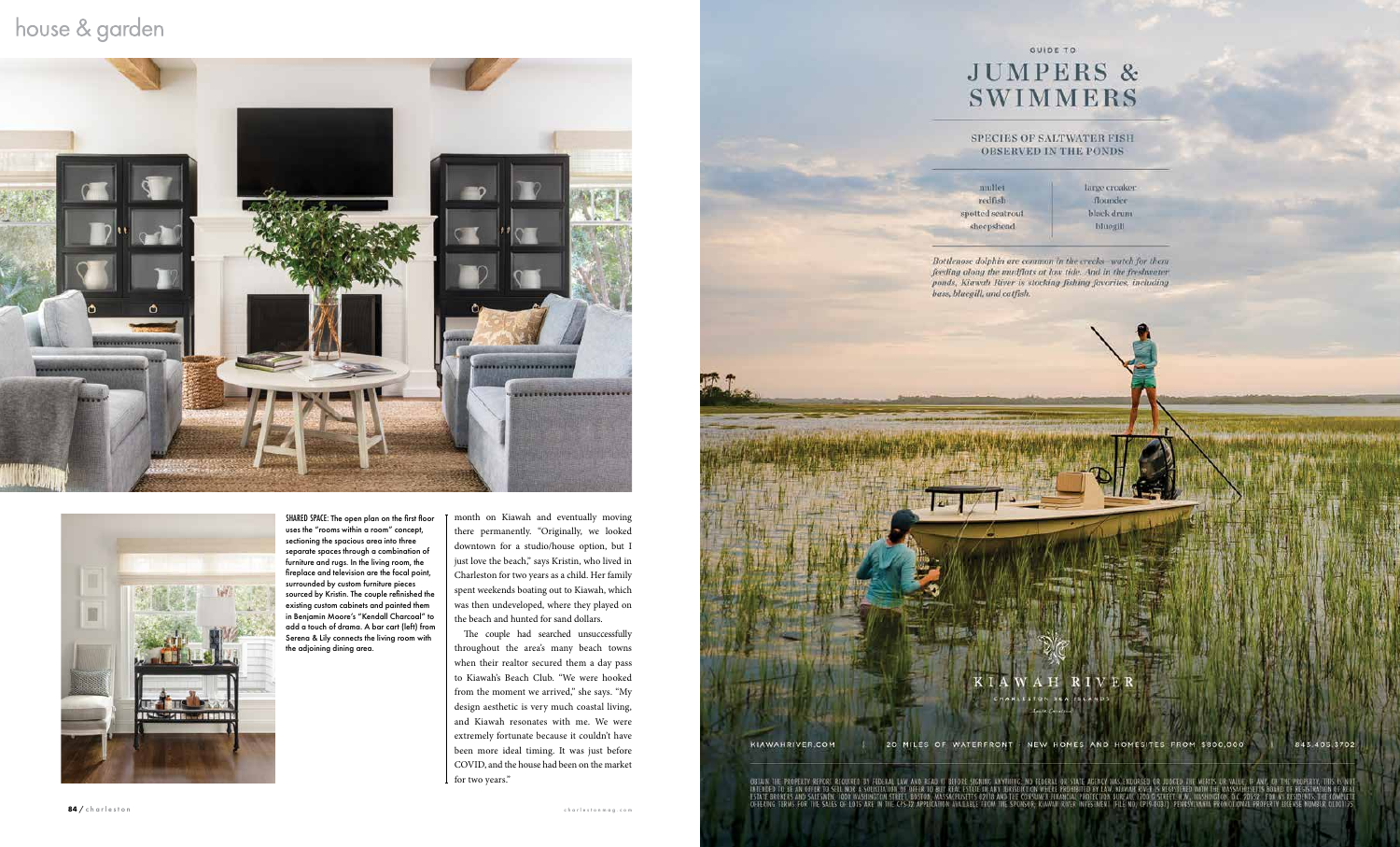#### house & garden





SHARED SPACE: The open plan on the first floor uses the "rooms within a room" concept, sectioning the spacious area into three separate spaces through a combination of furniture and rugs. In the living room, the fireplace and television are the focal point, surrounded by custom furniture pieces sourced by Kristin. The couple refinished the existing custom cabinets and painted them in Benjamin Moore's "Kendall Charcoal" to add a touch of drama. A bar cart (left) from Serena & Lily connects the living room with the adjoining dining area.

month on Kiawah and eventually moving there permanently. "Originally, we looked downtown for a studio/house option, but I just love the beach," says Kristin, who lived in Charleston for two years as a child. Her family spent weekends boating out to Kiawah, which was then undeveloped, where they played on the beach and hunted for sand dollars.

The couple had searched unsuccessfully throughout the area's many beach towns when their realtor secured them a day pass to Kiawah's Beach Club. "We were hooked from the moment we arrived," she says. "My design aesthetic is very much coastal living, and Kiawah resonates with me. We were extremely fortunate because it couldn't have been more ideal timing. It was just before COVID, and the house had been on the market for two years."



/ charleston charleston com and the charleston computer and the charleston computer and the charleston computer and the charleston computer and the charleston computer and the charleston computer and the charleston compute

#### GUIDE TO **JUMPERS & SWIMMERS**

#### **SPECIES OF SALTWATER FISH OBSERVED IN THE PONDS**

mullet redfish spotted seatrout sheepshead

large croaker flounder black drum **bluegill** 

Bottlenose dolphin are common in the creeks-watch for them feeding along the mudflats at low tide. And in the freshwater ponds, Kiawah River is stocking fishing favorites, including

R I

20 MILES OF WATERFRONT - NEW HOMES AND HOMESITES FROM \$800,000

843.405.3702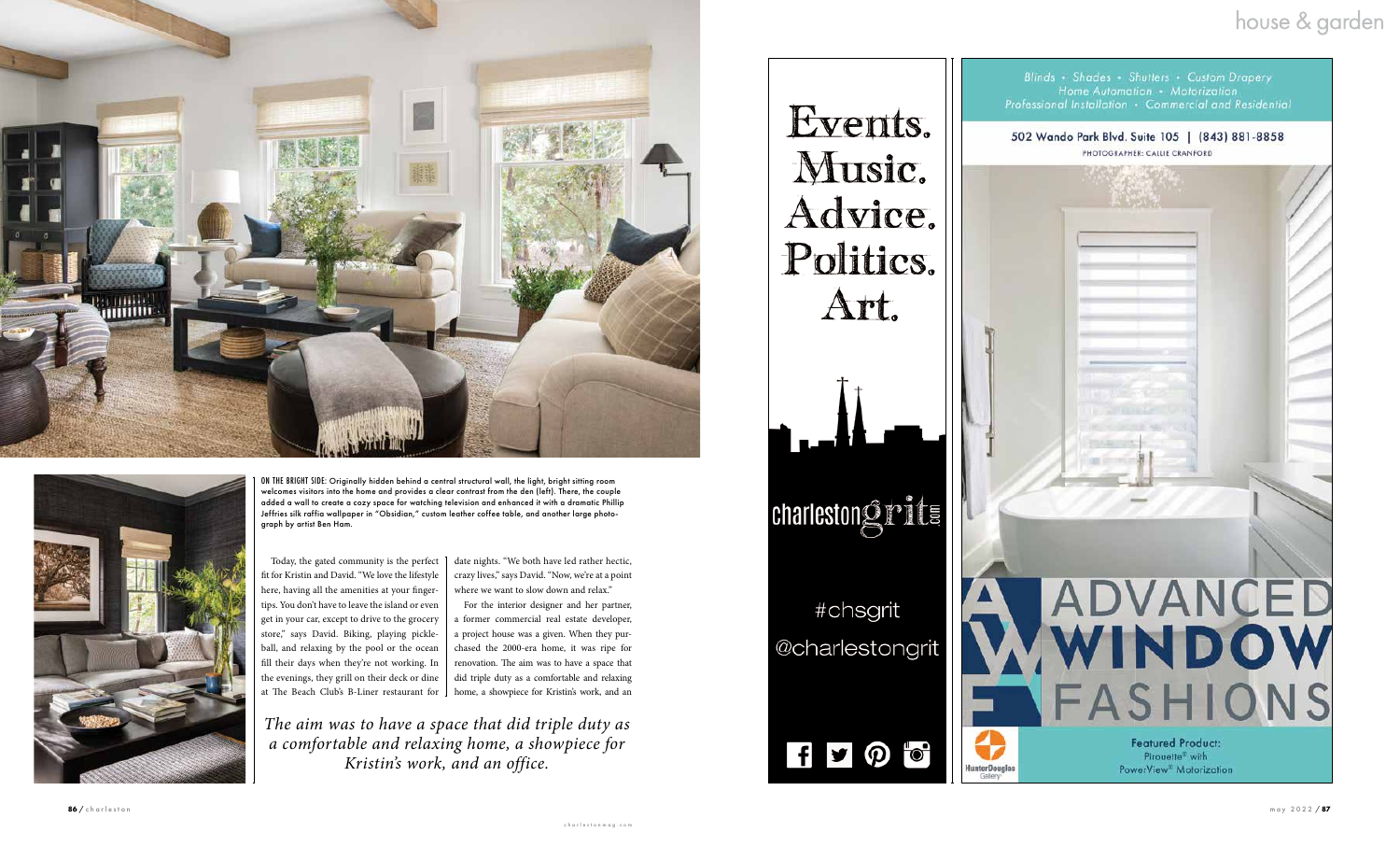#### house & garden





Today, the gated community is the perfect [ fit for Kristin and David. "We love the lifestyle here, having all the amenities at your finger tips. You don't have to leave the island or even get in your car, except to drive to the grocery store," says David. Biking, playing pickle ball, and relaxing by the pool or the ocean fill their days when they're not working. In the evenings, they grill on their deck or dine at The Beach Club's B-Liner restaurant for home, a showpiece for Kristin's work, and an





ON THE BRIGHT SIDE: Originally hidden behind a central structural wall, the light, bright sitting room welcomes visitors into the home and provides a clear contrast from the den (left). There, the couple added a wall to create a cozy space for watching television and enhanced it with a dramatic Phillip Jeffries silk raffia wallpaper in "Obsidian," custom leather coffee table, and another large photo graph by artist Ben Ham.

date nights. "We both have led rather hectic, crazy lives," says David. "Now, we're at a point where we want to slow down and relax."

For the interior designer and her partner, a former commercial real estate developer, a project house was a given. When they pur chased the 2000-era home, it was ripe for renovation. The aim was to have a space that did triple duty as a comfortable and relaxing

*The aim was to have a space that did triple duty as a comfortable and relaxing home, a showpiece for Kristin's work, and an office.*

Music. Advice. Politics. Art. charlestongrits #chsgrit @charlestongrit

 $f$   $\theta$   $\sigma$ 

Events.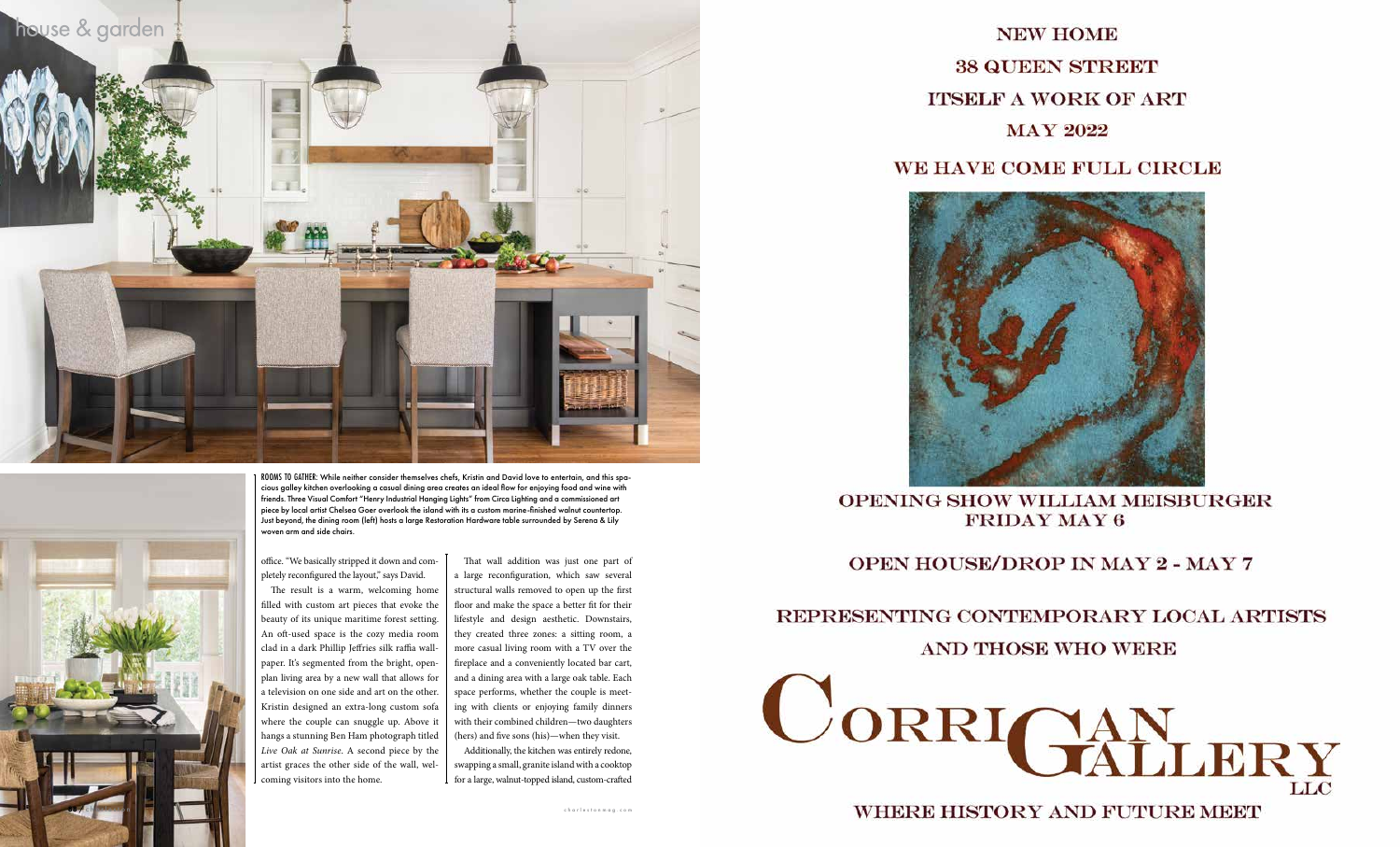



ROOMS TO GATHER: While neither consider themselves chefs, Kristin and David love to entertain, and this spa cious galley kitchen overlooking a casual dining area creates an ideal flow for enjoying food and wine with friends. Three Visual Comfort "Henry Industrial Hanging Lights" from Circa Lighting and a commissioned art piece by local artist Chelsea Goer overlook the island with its a custom marine-finished walnut countertop. Just beyond, the dining room (left) hosts a large Restoration Hardware table surrounded by Serena & Lily woven arm and side chairs.

office. "We basically stripped it down and com pletely reconfigured the layout," says David.

The result is a warm, welcoming home filled with custom art pieces that evoke the beauty of its unique maritime forest setting. An oft-used space is the cozy media room clad in a dark Phillip Jeffries silk raffia wall paper. It's segmented from the bright, openplan living area by a new wall that allows for a television on one side and art on the other. Kristin designed an extra-long custom sofa where the couple can snuggle up. Above it hangs a stunning Ben Ham photograph titled *Live Oak at Sunrise*. A second piece by the artist graces the other side of the wall, wel coming visitors into the home.

That wall addition was just one part of a large reconfiguration, which saw several structural walls removed to open up the first floor and make the space a better fit for their lifestyle and design aesthetic. Downstairs, they created three zones: a sitting room, a more casual living room with a TV over the fireplace and a conveniently located bar cart, and a dining area with a large oak table. Each space performs, whether the couple is meet ing with clients or enjoying family dinners with their combined children—two daughters (hers) and five sons (his)—when they visit.

Additionally, the kitchen was entirely redone, swapping a small, granite island with a cooktop for a large, walnut-topped island, custom-crafted



#### **OPENING SHOW WILLIAM MEISBURGER FRIDAY MAY 6**

#### **OPEN HOUSE/DROP IN MAY 2 - MAY 7**

#### REPRESENTING CONTEMPORARY LOCAL ARTISTS



#### **/ Charleston charleston charleston charleston charleston charleston charleston charleston charleston charleston charleston charleston charleston charleston charleston charleston charleston charleston charleston charleston**



#### **AND THOSE WHO WERE**

#### WE HAVE COME FULL CIRCLE

### **NEW HOME 38 QUEEN STREET ITSELF A WORK OF ART**

**MAY 2022**